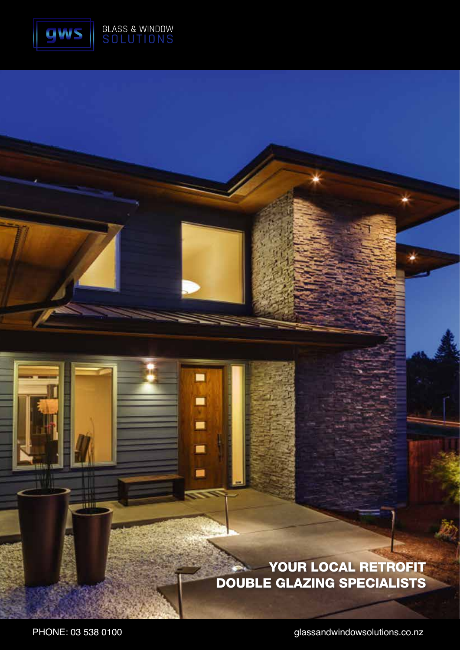

▄

■

m.

É

۰

#### YOUR LOCAL RETROFIT DOUBLE GLAZING SPECIALISTS

PHONE: 03 538 0100 **PHONE: 03 538 0100** glassandwindowsolutions.co.nz

munt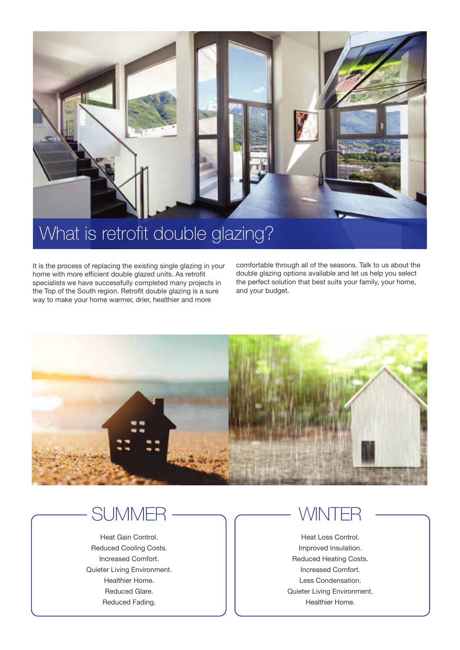

It is the process of replacing the existing single glazing in your home with more efficient double glazed units. As retrofit specialists we have successfully completed many projects in the Top of the South region. Retrofit double glazing is a sure way to make your home warmer, drier, healthier and more

comfortable through all of the seasons. Talk to us about the double glazing options available and let us help you select the perfect solution that best suits your family, your home, and your budget.



### **SUMMER**

Heat Gain Control. Reduced Cooling Costs. Increased Comfort. Quieter Living Environment. Healthier Home. Reduced Glare. Reduced Fading.

#### WINTE

Heat Loss Control. Improved Insulation. Reduced Heating Costs. Increased Comfort. Less Condensation. Quieter Living Environment. Healthier Home.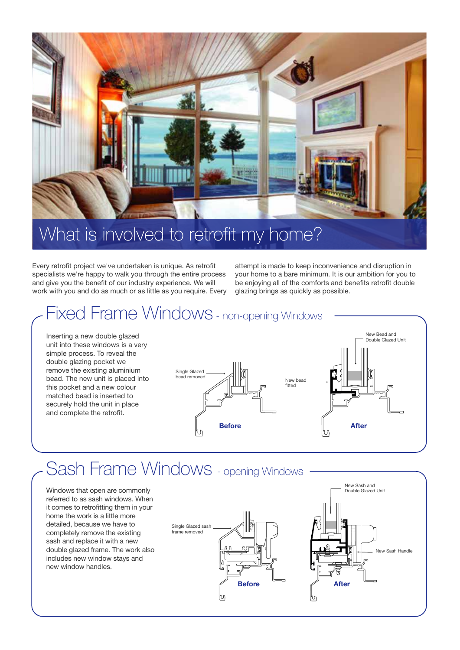

## What is involved to retrofit my home?

Every retrofit project we've undertaken is unique. As retrofit specialists we're happy to walk you through the entire process and give you the benefit of our industry experience. We will work with you and do as much or as little as you require. Every attempt is made to keep inconvenience and disruption in your home to a bare minimum. It is our ambition for you to be enjoying all of the comforts and benefits retrofit double glazing brings as quickly as possible.

#### Fixed Frame Windows - non-opening Windows Inserting a new double glazed

unit into these windows is a very simple process. To reveal the double glazing pocket we remove the existing aluminium bead. The new unit is placed into this pocket and a new colour matched bead is inserted to securely hold the unit in place and complete the retrofit.



## Sash Frame Windows - opening Windows

Windows that open are commonly referred to as sash windows. When it comes to retrofitting them in your home the work is a little more detailed, because we have to completely remove the existing sash and replace it with a new double glazed frame. The work also includes new window stays and new window handles.

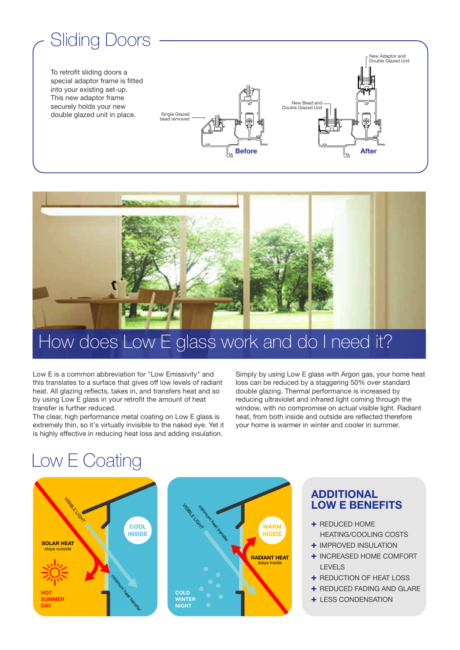# Sliding Doors

To retrofit sliding doors a special adaptor frame is fitted into your existing set-up. This new adaptor frame securely holds your new double glazed unit in place.





# How does Low E glass work and do I need it?

Low E is a common abbreviation for "Low Emissivity" and this translates to a surface that gives off low levels of radiant heat. All glazing reflects, takes in, and transfers heat and so by using Low E glass in your retrofit the amount of heat transfer is further reduced.

The clear, high performance metal coating on Low E glass is extremely thin, so it's virtually invisible to the naked eye. Yet it is highly effective in reducing heat loss and adding insulation.

Simply by using Low E glass with Argon gas, your home heat loss can be reduced by a staggering 50% over standard double glazing. Thermal performance is increased by reducing ultraviolet and infrared light coming through the window, with no compromise on actual visible light. Radiant heat, from both inside and outside are reflected therefore your home is warmer in winter and cooler in summer.

## Low E Coating





#### **ADDITIONAL LOW E BENEFITS**

- + REDUCED HOME HEATING/COOLING COSTS
- + IMPROVED INSULATION
- + INCREASED HOME COMFORT LEVELS
- + REDUCTION OF HEAT LOSS
- + REDUCED FADING AND GLARE
- + LESS CONDENSATION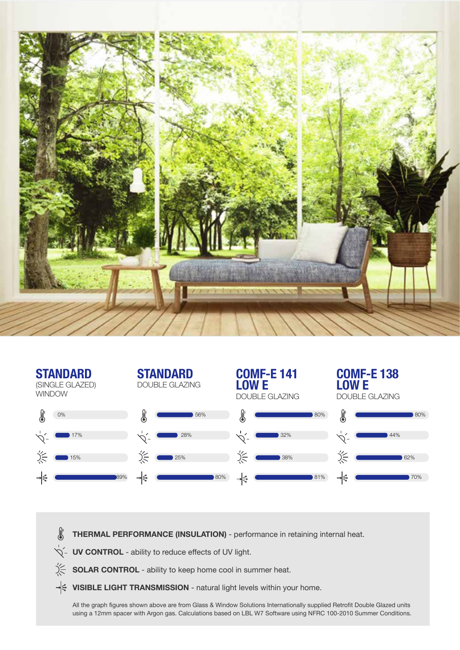

| <b>STANDARD</b><br>(SINGLE GLAZED)<br><b>WINDOW</b> | <b>STANDARD</b><br><b>DOUBLE GLAZING</b> | <b>COMF-E 141</b><br>LOW E<br><b>DOUBLE GLAZING</b> | <b>COMF-E138</b><br><b>OWE</b><br><b>DOUBLE GLAZING</b> |
|-----------------------------------------------------|------------------------------------------|-----------------------------------------------------|---------------------------------------------------------|
| 0%                                                  | 56%                                      | 80%                                                 | 80%                                                     |
| 17%                                                 | 28%                                      | 32%                                                 | 44%                                                     |
| 15%                                                 | 25%                                      | 38%                                                 | ぶ<br>62%                                                |
| 89%<br>≁হি                                          | ⊣∉<br>80%                                | 81%<br>⊣∉                                           | ⊣इ<br>70%                                               |

- **THERMAL PERFORMANCE (INSULATION)** performance in retaining internal heat.
- $\overleftrightarrow{Q}$  **UV CONTROL** ability to reduce effects of UV light.
- **SOLAR CONTROL** ability to keep home cool in summer heat.
- → **VISIBLE LIGHT TRANSMISSION** natural light levels within your home.

All the graph figures shown above are from Glass & Window Solutions Internationally supplied Retrofit Double Glazed units using a 12mm spacer with Argon gas. Calculations based on LBL W7 Software using NFRC 100-2010 Summer Conditions.